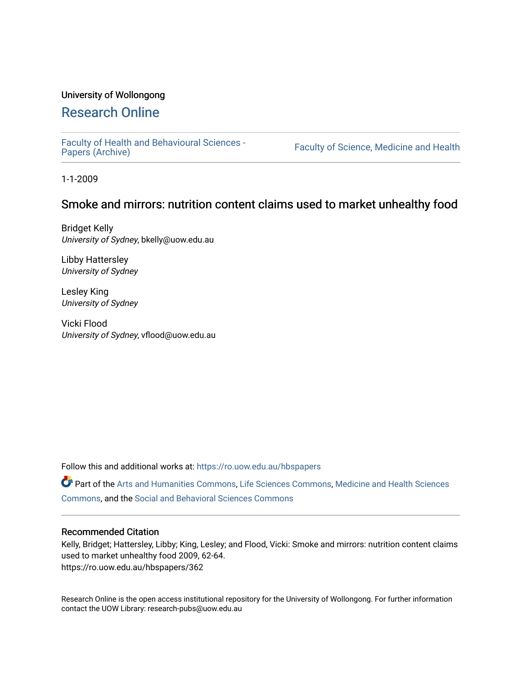### University of Wollongong

# [Research Online](https://ro.uow.edu.au/)

[Faculty of Health and Behavioural Sciences -](https://ro.uow.edu.au/hbspapers)<br>Papers (Archive)

Faculty of Science, Medicine and Health

1-1-2009

# Smoke and mirrors: nutrition content claims used to market unhealthy food

Bridget Kelly University of Sydney, bkelly@uow.edu.au

Libby Hattersley University of Sydney

Lesley King University of Sydney

Vicki Flood University of Sydney, vflood@uow.edu.au

Follow this and additional works at: [https://ro.uow.edu.au/hbspapers](https://ro.uow.edu.au/hbspapers?utm_source=ro.uow.edu.au%2Fhbspapers%2F362&utm_medium=PDF&utm_campaign=PDFCoverPages) 

Part of the [Arts and Humanities Commons,](http://network.bepress.com/hgg/discipline/438?utm_source=ro.uow.edu.au%2Fhbspapers%2F362&utm_medium=PDF&utm_campaign=PDFCoverPages) [Life Sciences Commons,](http://network.bepress.com/hgg/discipline/1016?utm_source=ro.uow.edu.au%2Fhbspapers%2F362&utm_medium=PDF&utm_campaign=PDFCoverPages) [Medicine and Health Sciences](http://network.bepress.com/hgg/discipline/648?utm_source=ro.uow.edu.au%2Fhbspapers%2F362&utm_medium=PDF&utm_campaign=PDFCoverPages) [Commons](http://network.bepress.com/hgg/discipline/648?utm_source=ro.uow.edu.au%2Fhbspapers%2F362&utm_medium=PDF&utm_campaign=PDFCoverPages), and the [Social and Behavioral Sciences Commons](http://network.bepress.com/hgg/discipline/316?utm_source=ro.uow.edu.au%2Fhbspapers%2F362&utm_medium=PDF&utm_campaign=PDFCoverPages)

#### Recommended Citation

Kelly, Bridget; Hattersley, Libby; King, Lesley; and Flood, Vicki: Smoke and mirrors: nutrition content claims used to market unhealthy food 2009, 62-64. https://ro.uow.edu.au/hbspapers/362

Research Online is the open access institutional repository for the University of Wollongong. For further information contact the UOW Library: research-pubs@uow.edu.au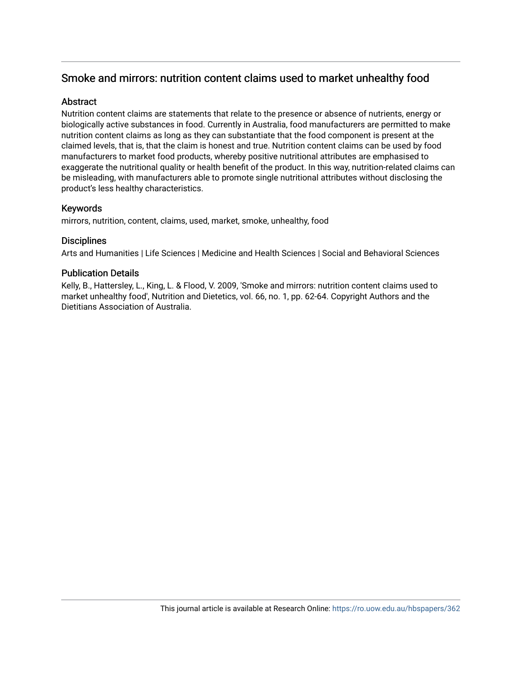# Smoke and mirrors: nutrition content claims used to market unhealthy food

### Abstract

Nutrition content claims are statements that relate to the presence or absence of nutrients, energy or biologically active substances in food. Currently in Australia, food manufacturers are permitted to make nutrition content claims as long as they can substantiate that the food component is present at the claimed levels, that is, that the claim is honest and true. Nutrition content claims can be used by food manufacturers to market food products, whereby positive nutritional attributes are emphasised to exaggerate the nutritional quality or health benefit of the product. In this way, nutrition-related claims can be misleading, with manufacturers able to promote single nutritional attributes without disclosing the product's less healthy characteristics.

### Keywords

mirrors, nutrition, content, claims, used, market, smoke, unhealthy, food

### **Disciplines**

Arts and Humanities | Life Sciences | Medicine and Health Sciences | Social and Behavioral Sciences

#### Publication Details

Kelly, B., Hattersley, L., King, L. & Flood, V. 2009, 'Smoke and mirrors: nutrition content claims used to market unhealthy food', Nutrition and Dietetics, vol. 66, no. 1, pp. 62-64. Copyright Authors and the Dietitians Association of Australia.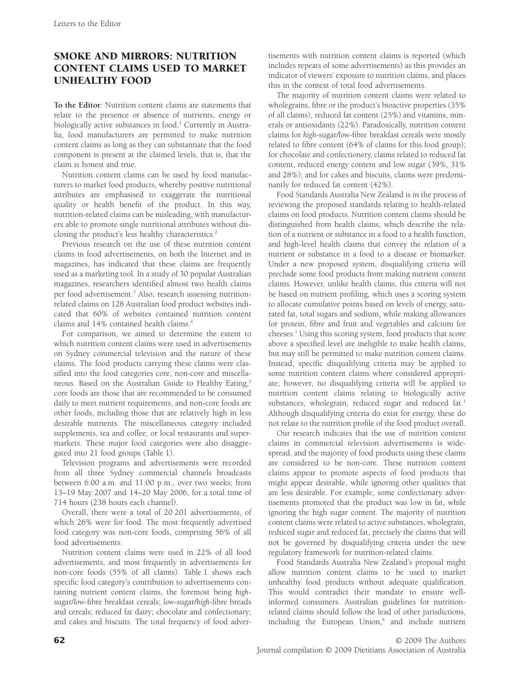# SMOKE AND MIRRORS: NUTRITION CONTENT CLAIMS USED TO MARKET UNHEALTHY FOOD

**To the Editor**: Nutrition content claims are statements that relate to the presence or absence of nutrients, energy or biologically active substances in food.<sup>1</sup> Currently in Australia, food manufacturers are permitted to make nutrition content claims as long as they can substantiate that the food component is present at the claimed levels, that is, that the claim is honest and true.

Nutrition content claims can be used by food manufacturers to market food products, whereby positive nutritional attributes are emphasised to exaggerate the nutritional quality or health benefit of the product. In this way, nutrition-related claims can be misleading, with manufacturers able to promote single nutritional attributes without disclosing the product's less healthy characteristics.<sup>2</sup>

Previous research on the use of these nutrition content claims in food advertisements, on both the Internet and in magazines, has indicated that these claims are frequently used as a marketing tool. In a study of 30 popular Australian magazines, researchers identified almost two health claims per food advertisement.<sup>3</sup> Also, research assessing nutritionrelated claims on 128 Australian food product websites indicated that 60% of websites contained nutrition content claims and 14% contained health claims.<sup>4</sup>

For comparison, we aimed to determine the extent to which nutrition content claims were used in advertisements on Sydney commercial television and the nature of these claims. The food products carrying these claims were classified into the food categories core, non-core and miscellaneous. Based on the Australian Guide to Healthy Eating,<sup>5</sup> core foods are those that are recommended to be consumed daily to meet nutrient requirements, and non-core foods are other foods, including those that are relatively high in less desirable nutrients. The miscellaneous category included supplements, tea and coffee; or local restaurants and supermarkets. These major food categories were also disaggregated into 21 food groups (Table 1).

Television programs and advertisements were recorded from all three Sydney commercial channels broadcasts between 6:00 a.m. and 11:00 p.m., over two weeks; from 13–19 May 2007 and 14–20 May 2006, for a total time of 714 hours (238 hours each channel).

Overall, there were a total of 20 201 advertisements, of which 26% were for food. The most frequently advertised food category was non-core foods, comprising 56% of all food advertisements.

Nutrition content claims were used in 22% of all food advertisements, and most frequently in advertisements for non-core foods (55% of all claims). Table 1 shows each specific food category's contribution to advertisements containing nutrient content claims, the foremost being *high*sugar/*low*-fibre breakfast cereals; *low-*sugar/*high*-fibre breads and cereals; reduced fat dairy; chocolate and confectionary; and cakes and biscuits. The total frequency of food advertisements with nutrition content claims is reported (which includes repeats of some advertisements) as this provides an indicator of viewers' exposure to nutrition claims, and places this in the context of total food advertisements.

The majority of nutrition content claims were related to wholegrains, fibre or the product's bioactive properties (35% of all claims), reduced fat content (25%) and vitamins, minerals or antioxidants (22%). Paradoxically, nutrition content claims for *high*-sugar/*low*-fibre breakfast cereals were mostly related to fibre content (64% of claims for this food group); for chocolate and confectionery, claims related to reduced fat content, reduced energy content and low sugar (39%, 31% and 28%); and for cakes and biscuits, claims were predominantly for reduced fat content (42%).

Food Standards Australia New Zealand is in the process of reviewing the proposed standards relating to health-related claims on food products. Nutrition content claims should be distinguished from health claims, which describe the relation of a nutrient or substance in a food to a health function, and high-level health claims that convey the relation of a nutrient or substance in a food to a disease or biomarker. Under a new proposed system, disqualifying criteria will preclude some food products from making nutrient content claims. However, unlike health claims, this criteria will not be based on nutrient profiling, which uses a scoring system to allocate cumulative points based on levels of energy, saturated fat, total sugars and sodium, while making allowances for protein, fibre and fruit and vegetables and calcium for cheeses.<sup>1</sup> Using this scoring system, food products that score above a specified level are ineligible to make health claims, but may still be permitted to make nutrition content claims. Instead, specific disqualifying criteria may be applied to some nutrition content claims where considered appropriate; however, no disqualifying criteria will be applied to nutrition content claims relating to biologically active substances, wholegrain, reduced sugar and reduced fat.<sup>1</sup> Although disqualifying criteria do exist for energy, these do not relate to the nutrition profile of the food product overall.

Our research indicates that the use of nutrition content claims in commercial television advertisements is widespread, and the majority of food products using these claims are considered to be non-core. These nutrition content claims appear to promote aspects of food products that might appear desirable, while ignoring other qualities that are less desirable. For example, some confectionary advertisements promoted that the product was low in fat, while ignoring the high sugar content. The majority of nutrition content claims were related to active substances, wholegrain, reduced sugar and reduced fat, precisely the claims that will not be governed by disqualifying criteria under the new regulatory framework for nutrition-related claims.

Food Standards Australia New Zealand's proposal might allow nutrition content claims to be used to market unhealthy food products without adequate qualification. This would contradict their mandate to ensure wellinformed consumers. Australian guidelines for nutritionrelated claims should follow the lead of other jurisdictions, including the European Union,<sup>6</sup> and include nutrient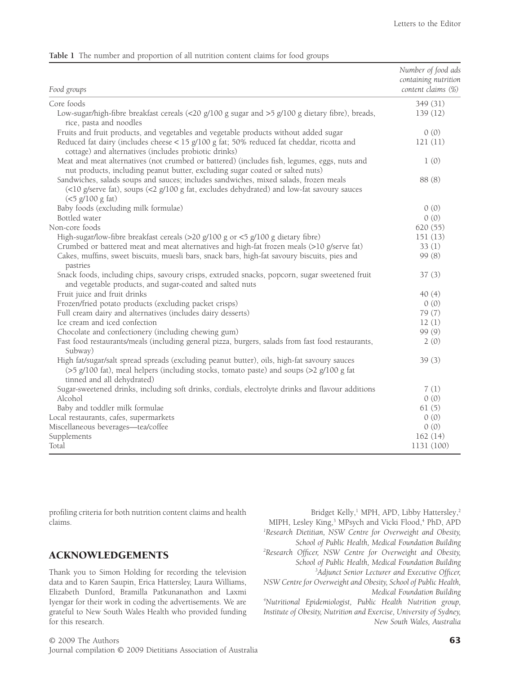| Table 1 The number and proportion of all nutrition content claims for food groups |  |
|-----------------------------------------------------------------------------------|--|
|-----------------------------------------------------------------------------------|--|

| Core foods<br>349 (31)<br>Low-sugar/high-fibre breakfast cereals $\left($ <20 g/100 g sugar and >5 g/100 g dietary fibre), breads,<br>139(12)<br>rice, pasta and noodles<br>Fruits and fruit products, and vegetables and vegetable products without added sugar<br>0(0)<br>Reduced fat dairy (includes cheese < 15 g/100 g fat; 50% reduced fat cheddar, ricotta and<br>121(11)<br>cottage) and alternatives (includes probiotic drinks)<br>Meat and meat alternatives (not crumbed or battered) (includes fish, legumes, eggs, nuts and<br>1(0)<br>nut products, including peanut butter, excluding sugar coated or salted nuts)<br>Sandwiches, salads soups and sauces; includes sandwiches, mixed salads, frozen meals<br>88 (8)<br>(<10 g/serve fat), soups (<2 g/100 g fat, excludes dehydrated) and low-fat savoury sauces<br>(<5 g/100 g fat)<br>Baby foods (excluding milk formulae)<br>0(0)<br>Bottled water<br>0(0)<br>Non-core foods<br>620(55)<br>151(13)<br>High-sugar/low-fibre breakfast cereals $(>20 g/100 g)$ or $< 5 g/100 g$ dietary fibre)<br>Crumbed or battered meat and meat alternatives and high-fat frozen meals (>10 g/serve fat)<br>33(1)<br>Cakes, muffins, sweet biscuits, muesli bars, snack bars, high-fat savoury biscuits, pies and<br>99(8)<br>pastries<br>Snack foods, including chips, savoury crisps, extruded snacks, popcorn, sugar sweetened fruit<br>37(3)<br>and vegetable products, and sugar-coated and salted nuts<br>Fruit juice and fruit drinks<br>40(4)<br>0(0)<br>Frozen/fried potato products (excluding packet crisps)<br>Full cream dairy and alternatives (includes dairy desserts)<br>79 (7)<br>Ice cream and iced confection<br>12(1)<br>99(9)<br>Chocolate and confectionery (including chewing gum)<br>Fast food restaurants/meals (including general pizza, burgers, salads from fast food restaurants,<br>2(0)<br>Subway)<br>High fat/sugar/salt spread spreads (excluding peanut butter), oils, high-fat savoury sauces<br>39(3)<br>( $>5$ g/100 fat), meal helpers (including stocks, tomato paste) and soups ( $>2$ g/100 g fat<br>tinned and all dehydrated)<br>Sugar-sweetened drinks, including soft drinks, cordials, electrolyte drinks and flavour additions<br>7(1)<br>Alcohol<br>0(0)<br>Baby and toddler milk formulae<br>61(5)<br>Local restaurants, cafes, supermarkets<br>0(0)<br>Miscellaneous beverages-tea/coffee<br>0(0)<br>Supplements<br>162(14)<br>1131 (100) | Food groups | Number of food ads<br>containing nutrition<br>content claims (%) |
|----------------------------------------------------------------------------------------------------------------------------------------------------------------------------------------------------------------------------------------------------------------------------------------------------------------------------------------------------------------------------------------------------------------------------------------------------------------------------------------------------------------------------------------------------------------------------------------------------------------------------------------------------------------------------------------------------------------------------------------------------------------------------------------------------------------------------------------------------------------------------------------------------------------------------------------------------------------------------------------------------------------------------------------------------------------------------------------------------------------------------------------------------------------------------------------------------------------------------------------------------------------------------------------------------------------------------------------------------------------------------------------------------------------------------------------------------------------------------------------------------------------------------------------------------------------------------------------------------------------------------------------------------------------------------------------------------------------------------------------------------------------------------------------------------------------------------------------------------------------------------------------------------------------------------------------------------------------------------------------------------------------------------------------------------------------------------------------------------------------------------------------------------------------------------------------------------------------------------------------------------------------------------------------------------------------------------------------------------------------------------------------------------------------------------------------------------|-------------|------------------------------------------------------------------|
|                                                                                                                                                                                                                                                                                                                                                                                                                                                                                                                                                                                                                                                                                                                                                                                                                                                                                                                                                                                                                                                                                                                                                                                                                                                                                                                                                                                                                                                                                                                                                                                                                                                                                                                                                                                                                                                                                                                                                                                                                                                                                                                                                                                                                                                                                                                                                                                                                                                    |             |                                                                  |
|                                                                                                                                                                                                                                                                                                                                                                                                                                                                                                                                                                                                                                                                                                                                                                                                                                                                                                                                                                                                                                                                                                                                                                                                                                                                                                                                                                                                                                                                                                                                                                                                                                                                                                                                                                                                                                                                                                                                                                                                                                                                                                                                                                                                                                                                                                                                                                                                                                                    |             |                                                                  |
|                                                                                                                                                                                                                                                                                                                                                                                                                                                                                                                                                                                                                                                                                                                                                                                                                                                                                                                                                                                                                                                                                                                                                                                                                                                                                                                                                                                                                                                                                                                                                                                                                                                                                                                                                                                                                                                                                                                                                                                                                                                                                                                                                                                                                                                                                                                                                                                                                                                    |             |                                                                  |
|                                                                                                                                                                                                                                                                                                                                                                                                                                                                                                                                                                                                                                                                                                                                                                                                                                                                                                                                                                                                                                                                                                                                                                                                                                                                                                                                                                                                                                                                                                                                                                                                                                                                                                                                                                                                                                                                                                                                                                                                                                                                                                                                                                                                                                                                                                                                                                                                                                                    |             |                                                                  |
|                                                                                                                                                                                                                                                                                                                                                                                                                                                                                                                                                                                                                                                                                                                                                                                                                                                                                                                                                                                                                                                                                                                                                                                                                                                                                                                                                                                                                                                                                                                                                                                                                                                                                                                                                                                                                                                                                                                                                                                                                                                                                                                                                                                                                                                                                                                                                                                                                                                    |             |                                                                  |
|                                                                                                                                                                                                                                                                                                                                                                                                                                                                                                                                                                                                                                                                                                                                                                                                                                                                                                                                                                                                                                                                                                                                                                                                                                                                                                                                                                                                                                                                                                                                                                                                                                                                                                                                                                                                                                                                                                                                                                                                                                                                                                                                                                                                                                                                                                                                                                                                                                                    |             |                                                                  |
|                                                                                                                                                                                                                                                                                                                                                                                                                                                                                                                                                                                                                                                                                                                                                                                                                                                                                                                                                                                                                                                                                                                                                                                                                                                                                                                                                                                                                                                                                                                                                                                                                                                                                                                                                                                                                                                                                                                                                                                                                                                                                                                                                                                                                                                                                                                                                                                                                                                    |             |                                                                  |
|                                                                                                                                                                                                                                                                                                                                                                                                                                                                                                                                                                                                                                                                                                                                                                                                                                                                                                                                                                                                                                                                                                                                                                                                                                                                                                                                                                                                                                                                                                                                                                                                                                                                                                                                                                                                                                                                                                                                                                                                                                                                                                                                                                                                                                                                                                                                                                                                                                                    |             |                                                                  |
|                                                                                                                                                                                                                                                                                                                                                                                                                                                                                                                                                                                                                                                                                                                                                                                                                                                                                                                                                                                                                                                                                                                                                                                                                                                                                                                                                                                                                                                                                                                                                                                                                                                                                                                                                                                                                                                                                                                                                                                                                                                                                                                                                                                                                                                                                                                                                                                                                                                    |             |                                                                  |
|                                                                                                                                                                                                                                                                                                                                                                                                                                                                                                                                                                                                                                                                                                                                                                                                                                                                                                                                                                                                                                                                                                                                                                                                                                                                                                                                                                                                                                                                                                                                                                                                                                                                                                                                                                                                                                                                                                                                                                                                                                                                                                                                                                                                                                                                                                                                                                                                                                                    |             |                                                                  |
|                                                                                                                                                                                                                                                                                                                                                                                                                                                                                                                                                                                                                                                                                                                                                                                                                                                                                                                                                                                                                                                                                                                                                                                                                                                                                                                                                                                                                                                                                                                                                                                                                                                                                                                                                                                                                                                                                                                                                                                                                                                                                                                                                                                                                                                                                                                                                                                                                                                    |             |                                                                  |
|                                                                                                                                                                                                                                                                                                                                                                                                                                                                                                                                                                                                                                                                                                                                                                                                                                                                                                                                                                                                                                                                                                                                                                                                                                                                                                                                                                                                                                                                                                                                                                                                                                                                                                                                                                                                                                                                                                                                                                                                                                                                                                                                                                                                                                                                                                                                                                                                                                                    |             |                                                                  |
|                                                                                                                                                                                                                                                                                                                                                                                                                                                                                                                                                                                                                                                                                                                                                                                                                                                                                                                                                                                                                                                                                                                                                                                                                                                                                                                                                                                                                                                                                                                                                                                                                                                                                                                                                                                                                                                                                                                                                                                                                                                                                                                                                                                                                                                                                                                                                                                                                                                    |             |                                                                  |
|                                                                                                                                                                                                                                                                                                                                                                                                                                                                                                                                                                                                                                                                                                                                                                                                                                                                                                                                                                                                                                                                                                                                                                                                                                                                                                                                                                                                                                                                                                                                                                                                                                                                                                                                                                                                                                                                                                                                                                                                                                                                                                                                                                                                                                                                                                                                                                                                                                                    |             |                                                                  |
|                                                                                                                                                                                                                                                                                                                                                                                                                                                                                                                                                                                                                                                                                                                                                                                                                                                                                                                                                                                                                                                                                                                                                                                                                                                                                                                                                                                                                                                                                                                                                                                                                                                                                                                                                                                                                                                                                                                                                                                                                                                                                                                                                                                                                                                                                                                                                                                                                                                    |             |                                                                  |
|                                                                                                                                                                                                                                                                                                                                                                                                                                                                                                                                                                                                                                                                                                                                                                                                                                                                                                                                                                                                                                                                                                                                                                                                                                                                                                                                                                                                                                                                                                                                                                                                                                                                                                                                                                                                                                                                                                                                                                                                                                                                                                                                                                                                                                                                                                                                                                                                                                                    |             |                                                                  |
|                                                                                                                                                                                                                                                                                                                                                                                                                                                                                                                                                                                                                                                                                                                                                                                                                                                                                                                                                                                                                                                                                                                                                                                                                                                                                                                                                                                                                                                                                                                                                                                                                                                                                                                                                                                                                                                                                                                                                                                                                                                                                                                                                                                                                                                                                                                                                                                                                                                    |             |                                                                  |
|                                                                                                                                                                                                                                                                                                                                                                                                                                                                                                                                                                                                                                                                                                                                                                                                                                                                                                                                                                                                                                                                                                                                                                                                                                                                                                                                                                                                                                                                                                                                                                                                                                                                                                                                                                                                                                                                                                                                                                                                                                                                                                                                                                                                                                                                                                                                                                                                                                                    |             |                                                                  |
|                                                                                                                                                                                                                                                                                                                                                                                                                                                                                                                                                                                                                                                                                                                                                                                                                                                                                                                                                                                                                                                                                                                                                                                                                                                                                                                                                                                                                                                                                                                                                                                                                                                                                                                                                                                                                                                                                                                                                                                                                                                                                                                                                                                                                                                                                                                                                                                                                                                    |             |                                                                  |
|                                                                                                                                                                                                                                                                                                                                                                                                                                                                                                                                                                                                                                                                                                                                                                                                                                                                                                                                                                                                                                                                                                                                                                                                                                                                                                                                                                                                                                                                                                                                                                                                                                                                                                                                                                                                                                                                                                                                                                                                                                                                                                                                                                                                                                                                                                                                                                                                                                                    |             |                                                                  |
|                                                                                                                                                                                                                                                                                                                                                                                                                                                                                                                                                                                                                                                                                                                                                                                                                                                                                                                                                                                                                                                                                                                                                                                                                                                                                                                                                                                                                                                                                                                                                                                                                                                                                                                                                                                                                                                                                                                                                                                                                                                                                                                                                                                                                                                                                                                                                                                                                                                    |             |                                                                  |
|                                                                                                                                                                                                                                                                                                                                                                                                                                                                                                                                                                                                                                                                                                                                                                                                                                                                                                                                                                                                                                                                                                                                                                                                                                                                                                                                                                                                                                                                                                                                                                                                                                                                                                                                                                                                                                                                                                                                                                                                                                                                                                                                                                                                                                                                                                                                                                                                                                                    |             |                                                                  |
|                                                                                                                                                                                                                                                                                                                                                                                                                                                                                                                                                                                                                                                                                                                                                                                                                                                                                                                                                                                                                                                                                                                                                                                                                                                                                                                                                                                                                                                                                                                                                                                                                                                                                                                                                                                                                                                                                                                                                                                                                                                                                                                                                                                                                                                                                                                                                                                                                                                    |             |                                                                  |
|                                                                                                                                                                                                                                                                                                                                                                                                                                                                                                                                                                                                                                                                                                                                                                                                                                                                                                                                                                                                                                                                                                                                                                                                                                                                                                                                                                                                                                                                                                                                                                                                                                                                                                                                                                                                                                                                                                                                                                                                                                                                                                                                                                                                                                                                                                                                                                                                                                                    |             |                                                                  |
|                                                                                                                                                                                                                                                                                                                                                                                                                                                                                                                                                                                                                                                                                                                                                                                                                                                                                                                                                                                                                                                                                                                                                                                                                                                                                                                                                                                                                                                                                                                                                                                                                                                                                                                                                                                                                                                                                                                                                                                                                                                                                                                                                                                                                                                                                                                                                                                                                                                    |             |                                                                  |
|                                                                                                                                                                                                                                                                                                                                                                                                                                                                                                                                                                                                                                                                                                                                                                                                                                                                                                                                                                                                                                                                                                                                                                                                                                                                                                                                                                                                                                                                                                                                                                                                                                                                                                                                                                                                                                                                                                                                                                                                                                                                                                                                                                                                                                                                                                                                                                                                                                                    |             |                                                                  |
|                                                                                                                                                                                                                                                                                                                                                                                                                                                                                                                                                                                                                                                                                                                                                                                                                                                                                                                                                                                                                                                                                                                                                                                                                                                                                                                                                                                                                                                                                                                                                                                                                                                                                                                                                                                                                                                                                                                                                                                                                                                                                                                                                                                                                                                                                                                                                                                                                                                    | Total       |                                                                  |

profiling criteria for both nutrition content claims and health claims.

#### ACKNOWLEDGEMENTS

Thank you to Simon Holding for recording the television data and to Karen Saupin, Erica Hattersley, Laura Williams, Elizabeth Dunford, Bramilla Patkunanathon and Laxmi Iyengar for their work in coding the advertisements. We are grateful to New South Wales Health who provided funding for this research.

Bridget Kelly,<sup>1</sup> MPH, APD, Libby Hattersley,<sup>2</sup> MIPH, Lesley King,<sup>3</sup> MPsych and Vicki Flood,<sup>4</sup> PhD, APD *1 Research Dietitian, NSW Centre for Overweight and Obesity, School of Public Health, Medical Foundation Building 2 Research Officer, NSW Centre for Overweight and Obesity, School of Public Health, Medical Foundation Building 3 Adjunct Senior Lecturer and Executive Officer, NSW Centre for Overweight and Obesity, School of Public Health, Medical Foundation Building 4 Nutritional Epidemiologist, Public Health Nutrition group,*

*Institute of Obesity, Nutrition and Exercise, University of Sydney, New South Wales, Australia*